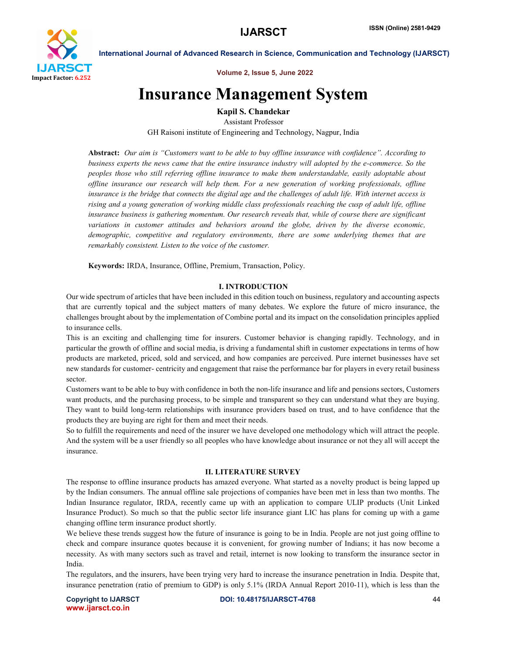

Volume 2, Issue 5, June 2022

# Insurance Management System

Kapil S. Chandekar

Assistant Professor GH Raisoni institute of Engineering and Technology, Nagpur, India

Abstract: *Our aim is "Customers want to be able to buy offline insurance with confidence". According to business experts the news came that the entire insurance industry will adopted by the e-commerce. So the peoples those who still referring offline insurance to make them understandable, easily adoptable about offline insurance our research will help them. For a new generation of working professionals, offline insurance is the bridge that connects the digital age and the challenges of adult life. With internet access is rising and a young generation of working middle class professionals reaching the cusp of adult life, offline insurance business is gathering momentum. Our research reveals that, while of course there are significant variations in customer attitudes and behaviors around the globe, driven by the diverse economic, demographic, competitive and regulatory environments, there are some underlying themes that are remarkably consistent. Listen to the voice of the customer.*

Keywords: IRDA, Insurance, Offline, Premium, Transaction, Policy.

### I. INTRODUCTION

Our wide spectrum of articles that have been included in this edition touch on business, regulatory and accounting aspects that are currently topical and the subject matters of many debates. We explore the future of micro insurance, the challenges brought about by the implementation of Combine portal and its impact on the consolidation principles applied to insurance cells.

This is an exciting and challenging time for insurers. Customer behavior is changing rapidly. Technology, and in particular the growth of offline and social media, is driving a fundamental shift in customer expectations in terms of how products are marketed, priced, sold and serviced, and how companies are perceived. Pure internet businesses have set new standards for customer- centricity and engagement that raise the performance bar for players in every retail business sector.

Customers want to be able to buy with confidence in both the non-life insurance and life and pensions sectors, Customers want products, and the purchasing process, to be simple and transparent so they can understand what they are buying. They want to build long-term relationships with insurance providers based on trust, and to have confidence that the products they are buying are right for them and meet their needs.

So to fulfill the requirements and need of the insurer we have developed one methodology which will attract the people. And the system will be a user friendly so all peoples who have knowledge about insurance or not they all will accept the insurance.

### II. LITERATURE SURVEY

The response to offline insurance products has amazed everyone. What started as a novelty product is being lapped up by the Indian consumers. The annual offline sale projections of companies have been met in less than two months. The Indian Insurance regulator, IRDA, recently came up with an application to compare ULIP products (Unit Linked Insurance Product). So much so that the public sector life insurance giant LIC has plans for coming up with a game changing offline term insurance product shortly.

We believe these trends suggest how the future of insurance is going to be in India. People are not just going offline to check and compare insurance quotes because it is convenient, for growing number of Indians; it has now become a necessity. As with many sectors such as travel and retail, internet is now looking to transform the insurance sector in India.

The regulators, and the insurers, have been trying very hard to increase the insurance penetration in India. Despite that, insurance penetration (ratio of premium to GDP) is only 5.1% (IRDA Annual Report 2010-11), which is less than the

www.ijarsct.co.in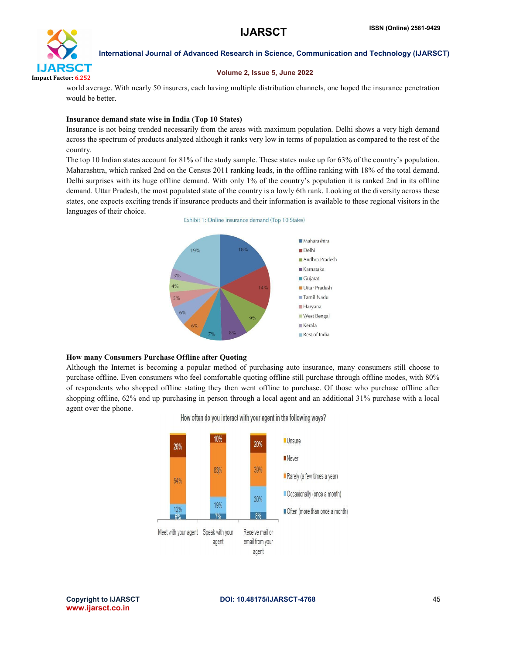

### Volume 2, Issue 5, June 2022

world average. With nearly 50 insurers, each having multiple distribution channels, one hoped the insurance penetration would be better.

### Insurance demand state wise in India (Top 10 States)

Insurance is not being trended necessarily from the areas with maximum population. Delhi shows a very high demand across the spectrum of products analyzed although it ranks very low in terms of population as compared to the rest of the country.

The top 10 Indian states account for 81% of the study sample. These states make up for 63% of the country's population. Maharashtra, which ranked 2nd on the Census 2011 ranking leads, in the offline ranking with 18% of the total demand. Delhi surprises with its huge offline demand. With only 1% of the country's population it is ranked 2nd in its offline demand. Uttar Pradesh, the most populated state of the country is a lowly 6th rank. Looking at the diversity across these states, one expects exciting trends if insurance products and their information is available to these regional visitors in the languages of their choice.





### How many Consumers Purchase Offline after Quoting

Although the Internet is becoming a popular method of purchasing auto insurance, many consumers still choose to purchase offline. Even consumers who feel comfortable quoting offline still purchase through offline modes, with 80% of respondents who shopped offline stating they then went offline to purchase. Of those who purchase offline after shopping offline, 62% end up purchasing in person through a local agent and an additional 31% purchase with a local agent over the phone.



How often do you interact with your agent in the following ways?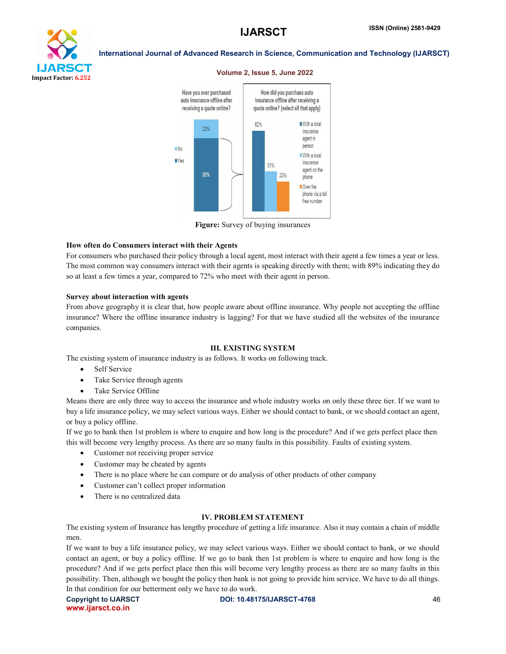# Impact Factor: 6.252

# International Journal of Advanced Research in Science, Communication and Technology (IJARSCT)



### Volume 2, Issue 5, June 2022



### How often do Consumers interact with their Agents

For consumers who purchased their policy through a local agent, most interact with their agent a few times a year or less. The most common way consumers interact with their agents is speaking directly with them; with 89% indicating they do so at least a few times a year, compared to 72% who meet with their agent in person.

### Survey about interaction with agents

From above geography it is clear that, how people aware about offline insurance. Why people not accepting the offline insurance? Where the offline insurance industry is lagging? For that we have studied all the websites of the insurance companies.

### III. EXISTING SYSTEM

The existing system of insurance industry is as follows. It works on following track.

- Self Service
- Take Service through agents
- Take Service Offline

Means there are only three way to access the insurance and whole industry works on only these three tier. If we want to buy a life insurance policy, we may select various ways. Either we should contact to bank, or we should contact an agent, or buy a policy offline.

If we go to bank then 1st problem is where to enquire and how long is the procedure? And if we gets perfect place then this will become very lengthy process. As there are so many faults in this possibility. Faults of existing system.

- Customer not receiving proper service
- Customer may be cheated by agents
- There is no place where he can compare or do analysis of other products of other company
- Customer can't collect proper information
- There is no centralized data

### IV. PROBLEM STATEMENT

The existing system of Insurance has lengthy procedure of getting a life insurance. Also it may contain a chain of middle men.

If we want to buy a life insurance policy, we may select various ways. Either we should contact to bank, or we should contact an agent, or buy a policy offline. If we go to bank then 1st problem is where to enquire and how long is the procedure? And if we gets perfect place then this will become very lengthy process as there are so many faults in this possibility. Then, although we bought the policy then bank is not going to provide him service. We have to do all things. In that condition for our betterment only we have to do work.

www.ijarsct.co.in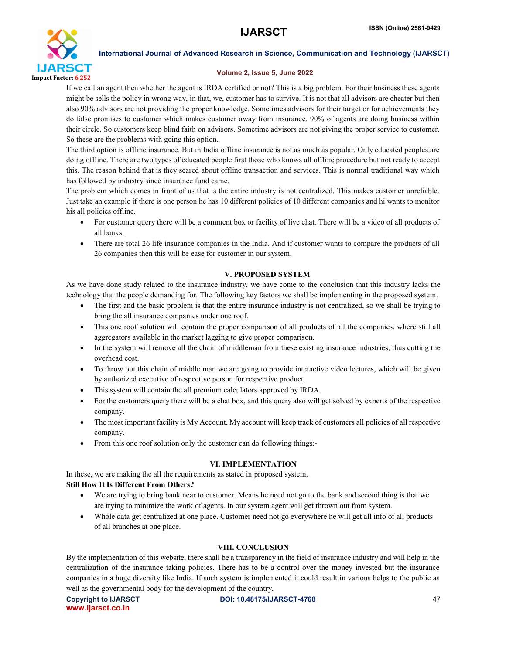

### Volume 2, Issue 5, June 2022

If we call an agent then whether the agent is IRDA certified or not? This is a big problem. For their business these agents might be sells the policy in wrong way, in that, we, customer has to survive. It is not that all advisors are cheater but then also 90% advisors are not providing the proper knowledge. Sometimes advisors for their target or for achievements they do false promises to customer which makes customer away from insurance. 90% of agents are doing business within their circle. So customers keep blind faith on advisors. Sometime advisors are not giving the proper service to customer. So these are the problems with going this option.

The third option is offline insurance. But in India offline insurance is not as much as popular. Only educated peoples are doing offline. There are two types of educated people first those who knows all offline procedure but not ready to accept this. The reason behind that is they scared about offline transaction and services. This is normal traditional way which has followed by industry since insurance fund came.

The problem which comes in front of us that is the entire industry is not centralized. This makes customer unreliable. Just take an example if there is one person he has 10 different policies of 10 different companies and hi wants to monitor his all policies offline.

- For customer query there will be a comment box or facility of live chat. There will be a video of all products of all banks.
- There are total 26 life insurance companies in the India. And if customer wants to compare the products of all 26 companies then this will be ease for customer in our system.

# V. PROPOSED SYSTEM

As we have done study related to the insurance industry, we have come to the conclusion that this industry lacks the technology that the people demanding for. The following key factors we shall be implementing in the proposed system.

- The first and the basic problem is that the entire insurance industry is not centralized, so we shall be trying to bring the all insurance companies under one roof.
- This one roof solution will contain the proper comparison of all products of all the companies, where still all aggregators available in the market lagging to give proper comparison.
- In the system will remove all the chain of middleman from these existing insurance industries, thus cutting the overhead cost.
- To throw out this chain of middle man we are going to provide interactive video lectures, which will be given by authorized executive of respective person for respective product.
- This system will contain the all premium calculators approved by IRDA.
- For the customers query there will be a chat box, and this query also will get solved by experts of the respective company.
- The most important facility is My Account. My account will keep track of customers all policies of all respective company.
- From this one roof solution only the customer can do following things:-

### VI. IMPLEMENTATION

In these, we are making the all the requirements as stated in proposed system.

### Still How It Is Different From Others?

- We are trying to bring bank near to customer. Means he need not go to the bank and second thing is that we are trying to minimize the work of agents. In our system agent will get thrown out from system.
- Whole data get centralized at one place. Customer need not go everywhere he will get all info of all products of all branches at one place.

### VIII. CONCLUSION

By the implementation of this website, there shall be a transparency in the field of insurance industry and will help in the centralization of the insurance taking policies. There has to be a control over the money invested but the insurance companies in a huge diversity like India. If such system is implemented it could result in various helps to the public as well as the governmental body for the development of the country.

www.ijarsct.co.in